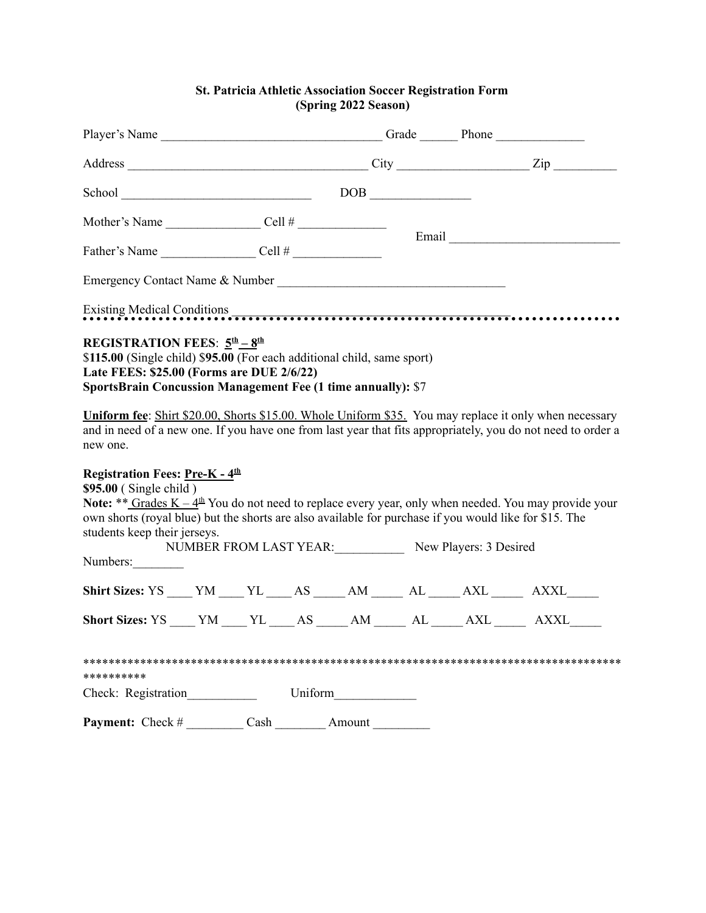## **St. Patricia Athletic Association Soccer Registration Form (Spring 2022 Season)**

|                                                                                                                                                                                                                                                                                                                                        |                      |  |                | Player's Name ___________________________________Grade _______Phone _____________ |  |                                               |                                                                                                              |
|----------------------------------------------------------------------------------------------------------------------------------------------------------------------------------------------------------------------------------------------------------------------------------------------------------------------------------------|----------------------|--|----------------|-----------------------------------------------------------------------------------|--|-----------------------------------------------|--------------------------------------------------------------------------------------------------------------|
|                                                                                                                                                                                                                                                                                                                                        |                      |  |                |                                                                                   |  |                                               |                                                                                                              |
|                                                                                                                                                                                                                                                                                                                                        |                      |  | School DOB DOB |                                                                                   |  |                                               |                                                                                                              |
| Mother's Name $\_\_\_\_\_$ Cell # $\_\_\_\_\_\_\_\_$                                                                                                                                                                                                                                                                                   |                      |  |                |                                                                                   |  |                                               |                                                                                                              |
|                                                                                                                                                                                                                                                                                                                                        | Father's Name Cell # |  |                |                                                                                   |  |                                               |                                                                                                              |
| Emergency Contact Name & Number                                                                                                                                                                                                                                                                                                        |                      |  |                |                                                                                   |  |                                               |                                                                                                              |
| Existing Medical Conditions experiences are a constructed as a construction of the condition of the construction of the condition of the construction of the condition of the condition of the condition of the condition of t                                                                                                         |                      |  |                |                                                                                   |  |                                               |                                                                                                              |
| \$115.00 (Single child) \$95.00 (For each additional child, same sport)<br>Late FEES: \$25.00 (Forms are DUE 2/6/22)<br><b>SportsBrain Concussion Management Fee (1 time annually): \$7</b><br>Uniform fee: Shirt \$20.00, Shorts \$15.00. Whole Uniform \$35. You may replace it only when necessary<br>new one.                      |                      |  |                |                                                                                   |  |                                               | and in need of a new one. If you have one from last year that fits appropriately, you do not need to order a |
| Registration Fees: Pre-K - 4 <sup>th</sup><br>$$95.00$ (Single child)<br>Note: ** Grades $K - 4th$ You do not need to replace every year, only when needed. You may provide your<br>own shorts (royal blue) but the shorts are also available for purchase if you would like for \$15. The<br>students keep their jerseys.<br>Numbers: |                      |  |                |                                                                                   |  | NUMBER FROM LAST YEAR: New Players: 3 Desired |                                                                                                              |
| Shirt Sizes: YS ____ YM ____ YL ____ AS _____ AM ______ AL _____ AXL ______ AXXL _____                                                                                                                                                                                                                                                 |                      |  |                |                                                                                   |  |                                               |                                                                                                              |
| Short Sizes: YS YM YL AS AM AL AXL AXXL                                                                                                                                                                                                                                                                                                |                      |  |                |                                                                                   |  |                                               |                                                                                                              |
| **********                                                                                                                                                                                                                                                                                                                             |                      |  |                |                                                                                   |  |                                               |                                                                                                              |
| Check: Registration                                                                                                                                                                                                                                                                                                                    |                      |  |                |                                                                                   |  |                                               |                                                                                                              |
| <b>Payment:</b> Check # __________ Cash _________ Amount _________                                                                                                                                                                                                                                                                     |                      |  |                |                                                                                   |  |                                               |                                                                                                              |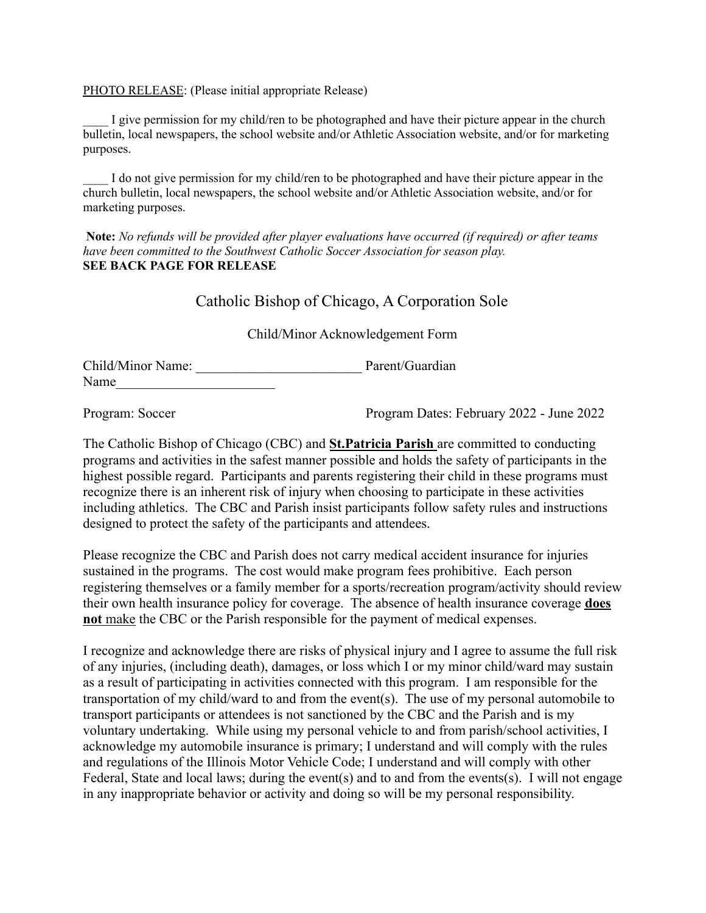## PHOTO RELEASE: (Please initial appropriate Release)

I give permission for my child/ren to be photographed and have their picture appear in the church bulletin, local newspapers, the school website and/or Athletic Association website, and/or for marketing purposes.

I do not give permission for my child/ren to be photographed and have their picture appear in the church bulletin, local newspapers, the school website and/or Athletic Association website, and/or for marketing purposes.

**Note:** *No refunds will be provided after player evaluations have occurred (if required) or after teams have been committed to the Southwest Catholic Soccer Association for season play.* **SEE BACK PAGE FOR RELEASE**

## Catholic Bishop of Chicago, A Corporation Sole

## Child/Minor Acknowledgement Form

Child/Minor Name: \_\_\_\_\_\_\_\_\_\_\_\_\_\_\_\_\_\_\_\_\_\_\_\_ Parent/Guardian Name

Program: Soccer Program Dates: February 2022 - June 2022

The Catholic Bishop of Chicago (CBC) and **St.Patricia Parish** are committed to conducting programs and activities in the safest manner possible and holds the safety of participants in the highest possible regard. Participants and parents registering their child in these programs must recognize there is an inherent risk of injury when choosing to participate in these activities including athletics. The CBC and Parish insist participants follow safety rules and instructions designed to protect the safety of the participants and attendees.

Please recognize the CBC and Parish does not carry medical accident insurance for injuries sustained in the programs. The cost would make program fees prohibitive. Each person registering themselves or a family member for a sports/recreation program/activity should review their own health insurance policy for coverage. The absence of health insurance coverage **does not** make the CBC or the Parish responsible for the payment of medical expenses.

I recognize and acknowledge there are risks of physical injury and I agree to assume the full risk of any injuries, (including death), damages, or loss which I or my minor child/ward may sustain as a result of participating in activities connected with this program. I am responsible for the transportation of my child/ward to and from the event(s). The use of my personal automobile to transport participants or attendees is not sanctioned by the CBC and the Parish and is my voluntary undertaking. While using my personal vehicle to and from parish/school activities, I acknowledge my automobile insurance is primary; I understand and will comply with the rules and regulations of the Illinois Motor Vehicle Code; I understand and will comply with other Federal, State and local laws; during the event(s) and to and from the events(s). I will not engage in any inappropriate behavior or activity and doing so will be my personal responsibility.